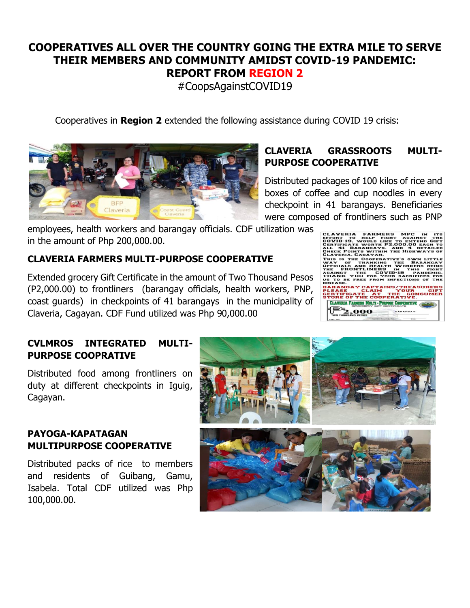# **COOPERATIVES ALL OVER THE COUNTRY GOING THE EXTRA MILE TO SERVE THEIR MEMBERS AND COMMUNITY AMIDST COVID-19 PANDEMIC: REPORT FROM REGION 2**

#CoopsAgainstCOVID19

Cooperatives in **Region 2** extended the following assistance during COVID 19 crisis:



# **CLAVERIA GRASSROOTS MULTI-PURPOSE COOPERATIVE**

Distributed packages of 100 kilos of rice and boxes of coffee and cup noodles in every checkpoint in 41 barangays. Beneficiaries were composed of frontliners such as PNP

employees, health workers and barangay officials. CDF utilization was in the amount of Php 200,000.00.

# **CLAVERIA FARMERS MULTI-PURPOSE COOPERATIVE**

Extended grocery Gift Certificate in the amount of Two Thousand Pesos (P2,000.00) to frontliners (barangay officials, health workers, PNP, coast guards) in checkpoints of 41 barangays in the municipality of Claveria, Cagayan. CDF Fund utilized was Php 90,000.00

#### .<br>AVERIA FARMERS MPC IN<br>VID-19. WOULD LIKE TO EXTEND<br>RTIFICATE WORTH P2.000.00 EAC ICATE WOF<br>1 BARANG<br>POINTS WI<br>RIA, CAGAY **HIGHY** THE COOPERATI<br>OF THANKING **CIALS AND HEALTH<br>FRONTLINERS** COVID-19 .<br>IGAY CAPTAINS/TRE TFICATE AT THE CO.<br>E OF THE COOPERATIVE CLAVICUA FAINGES MIN.TI - PUBPOSE CO .ooo

# **CVLMROS INTEGRATED MULTI-PURPOSE COOPRATIVE**

Distributed food among frontliners on duty at different checkpoints in Iguig, Cagayan.

# **PAYOGA-KAPATAGAN MULTIPURPOSE COOPERATIVE**

Distributed packs of rice to members and residents of Guibang, Gamu, Isabela. Total CDF utilized was Php 100,000.00.